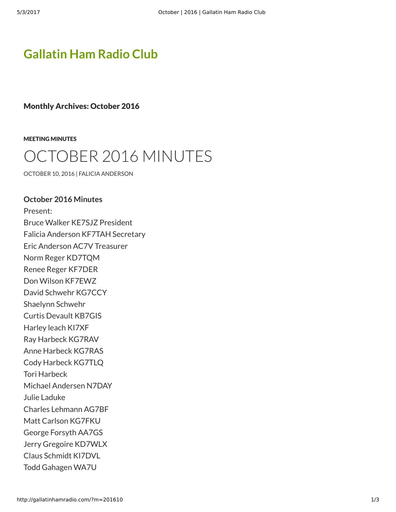## **[Gallatin Ham Radio Club](http://gallatinhamradio.com/)**

Monthly Archives: October 2016

[MEETING MINUTES](http://gallatinhamradio.com/?cat=2)

# CTOBER 2016 MINUTES

[OCTOBER 10, 2016](http://gallatinhamradio.com/?p=398) | [FALICIA ANDERSON](http://gallatinhamradio.com/?author=2)

#### **October 2016 Minutes**

Present: Bruce Walker KE7SJZ President Falicia Anderson KF7TAH Secretary Eric Anderson AC7V Treasurer Norm Reger KD7TQM Renee Reger KF7DER Don Wilson KF7EWZ David Schwehr KG7CCY Shaelynn Schwehr Curtis Devault KB7GIS Harley leach KI7XF Ray Harbeck KG7RAV Anne Harbeck KG7RAS Cody Harbeck KG7TLQ Tori Harbeck Michael Andersen N7DAY Julie Laduke Charles Lehmann AG7BF Matt Carlson KG7FKU George Forsyth AA7GS Jerry Gregoire KD7WLX Claus Schmidt KI7DVL Todd Gahagen WA7U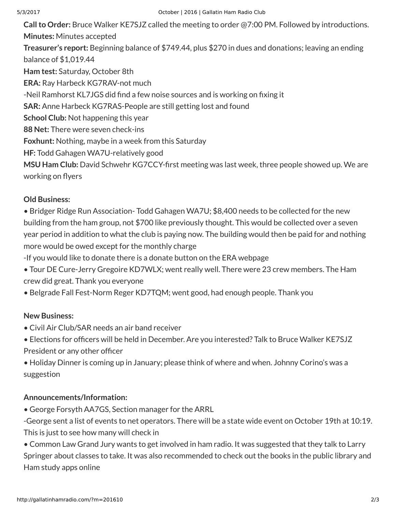**Call to Order:** Bruce Walker KE7SJZ called the meeting to order @7:00 PM. Followed by introductions. **Minutes:** Minutes accepted **Treasurer's report:** Beginning balance of \$749.44, plus \$270 in dues and donations; leaving an ending balance of \$1,019.44 **Ham test:** Saturday, October 8th **ERA:** Ray Harbeck KG7RAV-not much -Neil Ramhorst KL7JGS did find a few noise sources and is working on fixing it **SAR:** Anne Harbeck KG7RAS-People are still getting lost and found **School Club:** Not happening this year **88 Net:** There were seven check-ins **Foxhunt:** Nothing, maybe in a week from this Saturday **HF:** Todd Gahagen WA7U-relatively good MSU Ham Club: David Schwehr KG7CCY-first meeting was last week, three people showed up. We are

working on flyers

### **Old Business:**

• Bridger Ridge Run Association- Todd Gahagen WA7U; \$8,400 needs to be collected for the new building from the ham group, not \$700 like previously thought. This would be collected over a seven year period in addition to what the club is paying now. The building would then be paid for and nothing more would be owed except for the monthly charge

-If you would like to donate there is a donate button on the ERA webpage

- Tour DE Cure-Jerry Gregoire KD7WLX; went really well. There were 23 crew members. The Ham crew did great. Thank you everyone
- Belgrade Fall Fest-Norm Reger KD7TQM; went good, had enough people. Thank you

### **New Business:**

• Civil Air Club/SAR needs an air band receiver

• Elections for officers will be held in December. Are you interested? Talk to Bruce Walker KE7SJZ President or any other officer

• Holiday Dinner is coming up in January; please think of where and when. Johnny Corino's was a suggestion

### **Announcements/Information:**

• George Forsyth AA7GS, Section manager for the ARRL

-George sent a list of events to net operators. There will be a state wide event on October 19th at 10:19. This is just to see how many will check in

• Common Law Grand Jury wants to get involved in ham radio. It was suggested that they talk to Larry Springer about classes to take. It was also recommended to check out the books in the public library and Ham study apps online